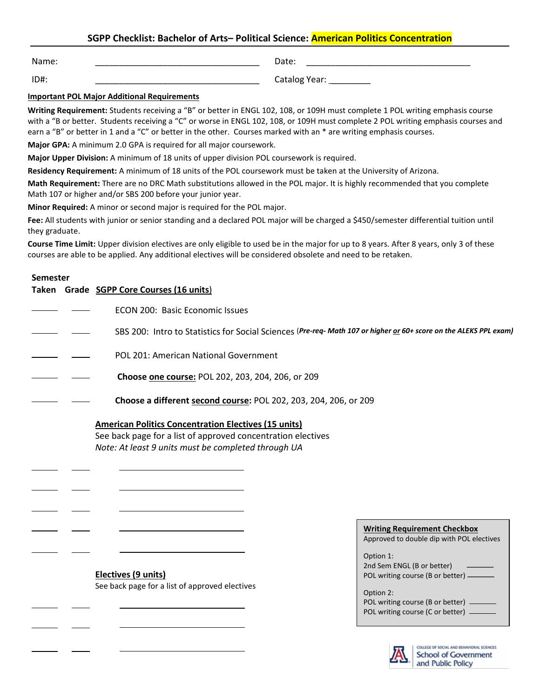## **SGPP Checklist: Bachelor of Arts– Political Science: American Politics Concentration**

Name: \_\_\_\_\_\_\_\_\_\_\_\_\_\_\_\_\_\_\_\_\_\_\_\_\_\_\_\_\_\_\_\_\_\_

Date: \_\_\_\_\_\_\_\_\_\_\_\_\_\_\_\_\_\_\_\_\_\_\_\_\_\_\_\_\_\_\_\_\_\_

ID#: \_\_\_\_\_\_\_\_\_\_\_\_\_\_\_\_\_\_\_\_\_\_\_\_\_\_\_\_\_\_\_\_\_\_

Catalog Year: \_\_\_\_\_\_\_\_\_\_

## **Important POL Major Additional Requirements**

**Writing Requirement:** Students receiving a "B" or better in ENGL 102, 108, or 109H must complete 1 POL writing emphasis course with a "B or better. Students receiving a "C" or worse in ENGL 102, 108, or 109H must complete 2 POL writing emphasis courses and earn a "B" or better in 1 and a "C" or better in the other. Courses marked with an \* are writing emphasis courses.

**Major GPA:** A minimum 2.0 GPA is required for all major coursework.

**Major Upper Division:** A minimum of 18 units of upper division POL coursework is required.

**Residency Requirement:** A minimum of 18 units of the POL coursework must be taken at the University of Arizona.

**Math Requirement:** There are no DRC Math substitutions allowed in the POL major. It is highly recommended that you complete Math 107 or higher and/or SBS 200 before your junior year.

**Minor Required:** A minor or second major is required for the POL major.

Fee: All students with junior or senior standing and a declared POL major will be charged a \$450/semester differential tuition until they graduate.

**Course Time Limit:** Upper division electives are only eligible to used be in the major for up to 8 years. After 8 years, only 3 of these courses are able to be applied. Any additional electives will be considered obsolete and need to be retaken.

## **Semester**

 $\overline{a}$ 

 $\overline{a}$ 

 $\overline{a}$ 

 $\overline{a}$ 

 $\overline{a}$ 

|                                                                                                                                                                                    | Taken Grade SGPP Core Courses (16 units)                                                                         |  |  |
|------------------------------------------------------------------------------------------------------------------------------------------------------------------------------------|------------------------------------------------------------------------------------------------------------------|--|--|
|                                                                                                                                                                                    | ECON 200: Basic Economic Issues                                                                                  |  |  |
|                                                                                                                                                                                    | SBS 200: Intro to Statistics for Social Sciences (Pre-req-Math 107 or higher or 60+ score on the ALEKS PPL exam) |  |  |
|                                                                                                                                                                                    | POL 201: American National Government                                                                            |  |  |
|                                                                                                                                                                                    | Choose one course: POL 202, 203, 204, 206, or 209                                                                |  |  |
|                                                                                                                                                                                    | Choose a different second course: POL 202, 203, 204, 206, or 209                                                 |  |  |
| <b>American Politics Concentration Electives (15 units)</b><br>See back page for a list of approved concentration electives<br>Note: At least 9 units must be completed through UA |                                                                                                                  |  |  |
|                                                                                                                                                                                    |                                                                                                                  |  |  |

**Electives (9 units)**  See back page for a list of approved electives **Writing Requirement Checkbox**

Approved to double dip with POL electives

Option 1: 2nd Sem ENGL (B or better) POL writing course (B or better)  $-$ 

Option 2: POL writing course (B or better)  $-$ POL writing course (C or better) -



COLLEGE OF SOCIAL AND BEHAVIORAL SCIENCES School of Government and Public Policy